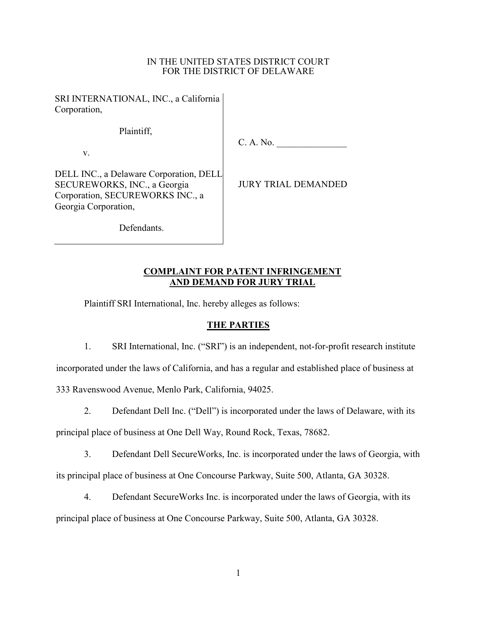### IN THE UNITED STATES DISTRICT COURT FOR THE DISTRICT OF DELAWARE

SRI INTERNATIONAL, INC., a California Corporation,

Plaintiff,

v.

C. A. No.

DELL INC., a Delaware Corporation, DELL SECUREWORKS, INC., a Georgia Corporation, SECUREWORKS INC., a Georgia Corporation,

JURY TRIAL DEMANDED

Defendants.

## COMPLAINT FOR PATENT INFRINGEMENT AND DEMAND FOR JURY TRIAL

Plaintiff SRI International, Inc. hereby alleges as follows:

## THE PARTIES

1. SRI International, Inc. ("SRI") is an independent, not-for-profit research institute

incorporated under the laws of California, and has a regular and established place of business at

333 Ravenswood Avenue, Menlo Park, California, 94025.

2. Defendant Dell Inc. ("Dell") is incorporated under the laws of Delaware, with its

principal place of business at One Dell Way, Round Rock, Texas, 78682.

3. Defendant Dell SecureWorks, Inc. is incorporated under the laws of Georgia, with its principal place of business at One Concourse Parkway, Suite 500, Atlanta, GA 30328.

4. Defendant SecureWorks Inc. is incorporated under the laws of Georgia, with its

principal place of business at One Concourse Parkway, Suite 500, Atlanta, GA 30328.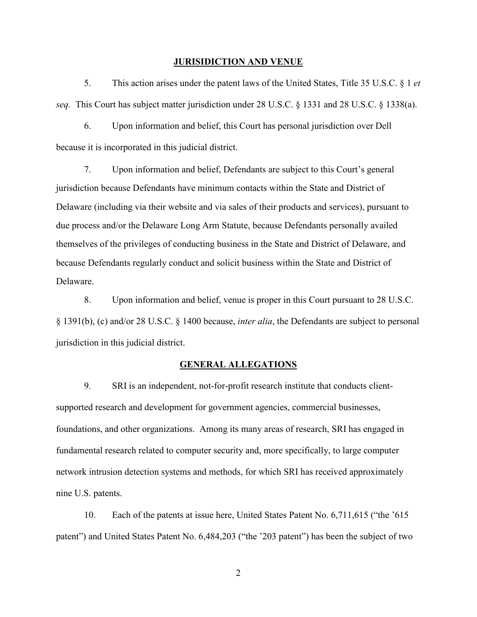#### JURISIDICTION AND VENUE

5. This action arises under the patent laws of the United States, Title 35 U.S.C. § 1 et seq. This Court has subject matter jurisdiction under 28 U.S.C. § 1331 and 28 U.S.C. § 1338(a).

6. Upon information and belief, this Court has personal jurisdiction over Dell because it is incorporated in this judicial district.

7. Upon information and belief, Defendants are subject to this Court's general jurisdiction because Defendants have minimum contacts within the State and District of Delaware (including via their website and via sales of their products and services), pursuant to due process and/or the Delaware Long Arm Statute, because Defendants personally availed themselves of the privileges of conducting business in the State and District of Delaware, and because Defendants regularly conduct and solicit business within the State and District of Delaware.

8. Upon information and belief, venue is proper in this Court pursuant to 28 U.S.C. § 1391(b), (c) and/or 28 U.S.C. § 1400 because, inter alia, the Defendants are subject to personal jurisdiction in this judicial district.

### GENERAL ALLEGATIONS

9. SRI is an independent, not-for-profit research institute that conducts clientsupported research and development for government agencies, commercial businesses, foundations, and other organizations. Among its many areas of research, SRI has engaged in fundamental research related to computer security and, more specifically, to large computer network intrusion detection systems and methods, for which SRI has received approximately nine U.S. patents.

10. Each of the patents at issue here, United States Patent No. 6,711,615 ("the '615 patent") and United States Patent No. 6,484,203 ("the '203 patent") has been the subject of two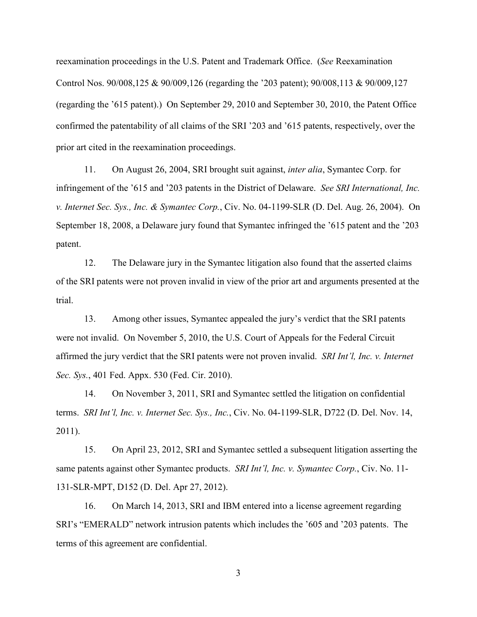reexamination proceedings in the U.S. Patent and Trademark Office. (See Reexamination Control Nos. 90/008,125 & 90/009,126 (regarding the '203 patent); 90/008,113 & 90/009,127 (regarding the '615 patent).) On September 29, 2010 and September 30, 2010, the Patent Office confirmed the patentability of all claims of the SRI '203 and '615 patents, respectively, over the prior art cited in the reexamination proceedings.

11. On August 26, 2004, SRI brought suit against, inter alia, Symantec Corp. for infringement of the '615 and '203 patents in the District of Delaware. See SRI International, Inc. v. Internet Sec. Sys., Inc. & Symantec Corp., Civ. No. 04-1199-SLR (D. Del. Aug. 26, 2004). On September 18, 2008, a Delaware jury found that Symantec infringed the '615 patent and the '203 patent.

12. The Delaware jury in the Symantec litigation also found that the asserted claims of the SRI patents were not proven invalid in view of the prior art and arguments presented at the trial.

13. Among other issues, Symantec appealed the jury's verdict that the SRI patents were not invalid. On November 5, 2010, the U.S. Court of Appeals for the Federal Circuit affirmed the jury verdict that the SRI patents were not proven invalid. SRI Int'l, Inc. v. Internet Sec. Sys., 401 Fed. Appx. 530 (Fed. Cir. 2010).

14. On November 3, 2011, SRI and Symantec settled the litigation on confidential terms. SRI Int'l, Inc. v. Internet Sec. Sys., Inc., Civ. No. 04-1199-SLR, D722 (D. Del. Nov. 14, 2011).

15. On April 23, 2012, SRI and Symantec settled a subsequent litigation asserting the same patents against other Symantec products. *SRI Int'l, Inc. v. Symantec Corp.*, Civ. No. 11-131-SLR-MPT, D152 (D. Del. Apr 27, 2012).

16. On March 14, 2013, SRI and IBM entered into a license agreement regarding SRI's "EMERALD" network intrusion patents which includes the '605 and '203 patents. The terms of this agreement are confidential.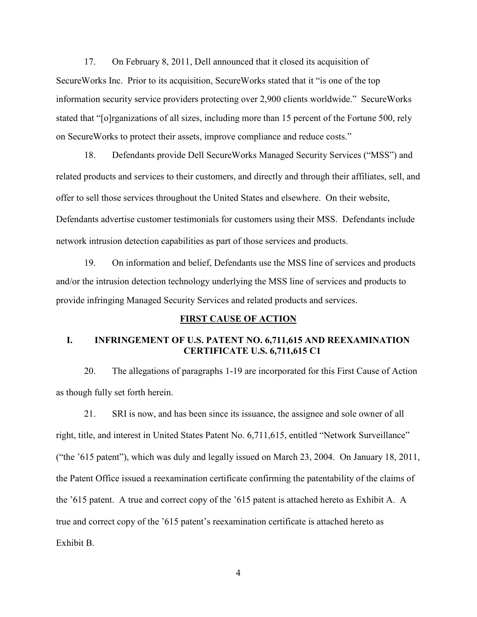17. On February 8, 2011, Dell announced that it closed its acquisition of SecureWorks Inc. Prior to its acquisition, SecureWorks stated that it "is one of the top information security service providers protecting over 2,900 clients worldwide." SecureWorks stated that "[o]rganizations of all sizes, including more than 15 percent of the Fortune 500, rely on SecureWorks to protect their assets, improve compliance and reduce costs."

18. Defendants provide Dell SecureWorks Managed Security Services ("MSS") and related products and services to their customers, and directly and through their affiliates, sell, and offer to sell those services throughout the United States and elsewhere. On their website, Defendants advertise customer testimonials for customers using their MSS. Defendants include network intrusion detection capabilities as part of those services and products.

19. On information and belief, Defendants use the MSS line of services and products and/or the intrusion detection technology underlying the MSS line of services and products to provide infringing Managed Security Services and related products and services.

#### FIRST CAUSE OF ACTION

### I. INFRINGEMENT OF U.S. PATENT NO. 6,711,615 AND REEXAMINATION CERTIFICATE U.S. 6,711,615 C1

20. The allegations of paragraphs 1-19 are incorporated for this First Cause of Action as though fully set forth herein.

21. SRI is now, and has been since its issuance, the assignee and sole owner of all right, title, and interest in United States Patent No. 6,711,615, entitled "Network Surveillance" ("the '615 patent"), which was duly and legally issued on March 23, 2004. On January 18, 2011, the Patent Office issued a reexamination certificate confirming the patentability of the claims of the '615 patent. A true and correct copy of the '615 patent is attached hereto as Exhibit A. A true and correct copy of the '615 patent's reexamination certificate is attached hereto as Exhibit B.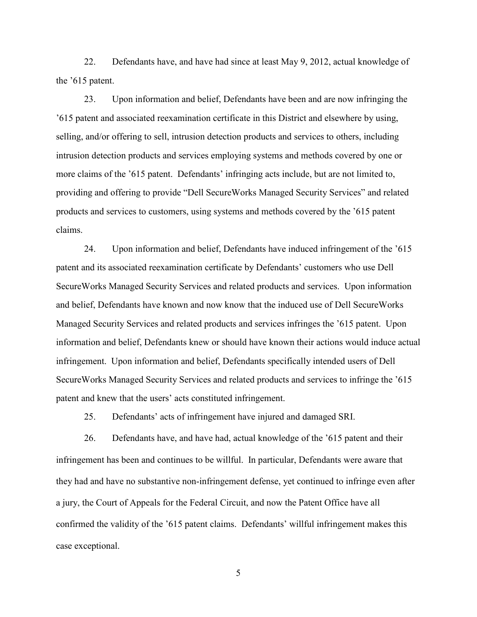22. Defendants have, and have had since at least May 9, 2012, actual knowledge of the '615 patent.

23. Upon information and belief, Defendants have been and are now infringing the '615 patent and associated reexamination certificate in this District and elsewhere by using, selling, and/or offering to sell, intrusion detection products and services to others, including intrusion detection products and services employing systems and methods covered by one or more claims of the '615 patent. Defendants' infringing acts include, but are not limited to, providing and offering to provide "Dell SecureWorks Managed Security Services" and related products and services to customers, using systems and methods covered by the '615 patent claims.

24. Upon information and belief, Defendants have induced infringement of the '615 patent and its associated reexamination certificate by Defendants' customers who use Dell SecureWorks Managed Security Services and related products and services. Upon information and belief, Defendants have known and now know that the induced use of Dell SecureWorks Managed Security Services and related products and services infringes the '615 patent. Upon information and belief, Defendants knew or should have known their actions would induce actual infringement. Upon information and belief, Defendants specifically intended users of Dell SecureWorks Managed Security Services and related products and services to infringe the '615 patent and knew that the users' acts constituted infringement.

25. Defendants' acts of infringement have injured and damaged SRI.

26. Defendants have, and have had, actual knowledge of the '615 patent and their infringement has been and continues to be willful. In particular, Defendants were aware that they had and have no substantive non-infringement defense, yet continued to infringe even after a jury, the Court of Appeals for the Federal Circuit, and now the Patent Office have all confirmed the validity of the '615 patent claims. Defendants' willful infringement makes this case exceptional.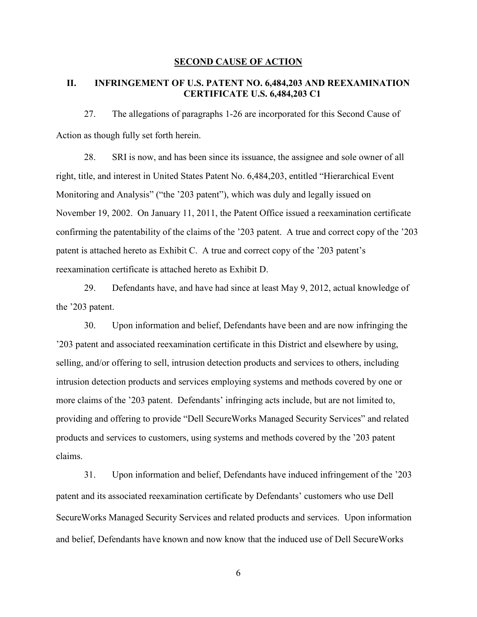#### SECOND CAUSE OF ACTION

### II. INFRINGEMENT OF U.S. PATENT NO. 6,484,203 AND REEXAMINATION CERTIFICATE U.S. 6,484,203 C1

27. The allegations of paragraphs 1-26 are incorporated for this Second Cause of Action as though fully set forth herein.

28. SRI is now, and has been since its issuance, the assignee and sole owner of all right, title, and interest in United States Patent No. 6,484,203, entitled "Hierarchical Event Monitoring and Analysis" ("the '203 patent"), which was duly and legally issued on November 19, 2002. On January 11, 2011, the Patent Office issued a reexamination certificate confirming the patentability of the claims of the '203 patent. A true and correct copy of the '203 patent is attached hereto as Exhibit C. A true and correct copy of the '203 patent's reexamination certificate is attached hereto as Exhibit D.

29. Defendants have, and have had since at least May 9, 2012, actual knowledge of the '203 patent.

30. Upon information and belief, Defendants have been and are now infringing the '203 patent and associated reexamination certificate in this District and elsewhere by using, selling, and/or offering to sell, intrusion detection products and services to others, including intrusion detection products and services employing systems and methods covered by one or more claims of the '203 patent. Defendants' infringing acts include, but are not limited to, providing and offering to provide "Dell SecureWorks Managed Security Services" and related products and services to customers, using systems and methods covered by the '203 patent claims.

31. Upon information and belief, Defendants have induced infringement of the '203 patent and its associated reexamination certificate by Defendants' customers who use Dell SecureWorks Managed Security Services and related products and services. Upon information and belief, Defendants have known and now know that the induced use of Dell SecureWorks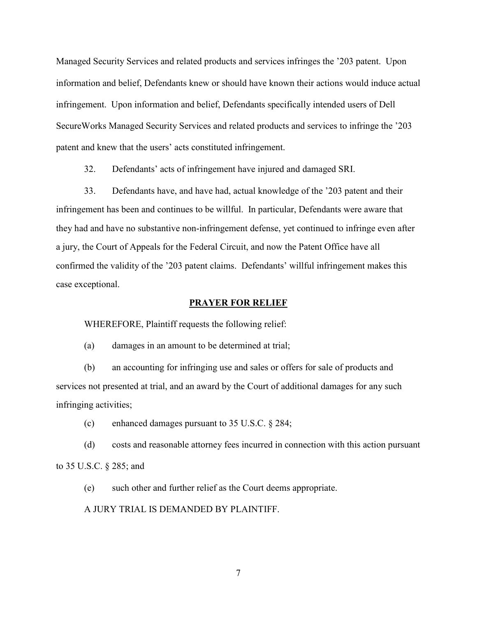Managed Security Services and related products and services infringes the '203 patent. Upon information and belief, Defendants knew or should have known their actions would induce actual infringement. Upon information and belief, Defendants specifically intended users of Dell SecureWorks Managed Security Services and related products and services to infringe the '203 patent and knew that the users' acts constituted infringement.

32. Defendants' acts of infringement have injured and damaged SRI.

33. Defendants have, and have had, actual knowledge of the '203 patent and their infringement has been and continues to be willful. In particular, Defendants were aware that they had and have no substantive non-infringement defense, yet continued to infringe even after a jury, the Court of Appeals for the Federal Circuit, and now the Patent Office have all confirmed the validity of the '203 patent claims. Defendants' willful infringement makes this case exceptional.

#### PRAYER FOR RELIEF

WHEREFORE, Plaintiff requests the following relief:

(a) damages in an amount to be determined at trial;

(b) an accounting for infringing use and sales or offers for sale of products and services not presented at trial, and an award by the Court of additional damages for any such infringing activities;

(c) enhanced damages pursuant to 35 U.S.C. § 284;

(d) costs and reasonable attorney fees incurred in connection with this action pursuant to 35 U.S.C. § 285; and

(e) such other and further relief as the Court deems appropriate.

A JURY TRIAL IS DEMANDED BY PLAINTIFF.